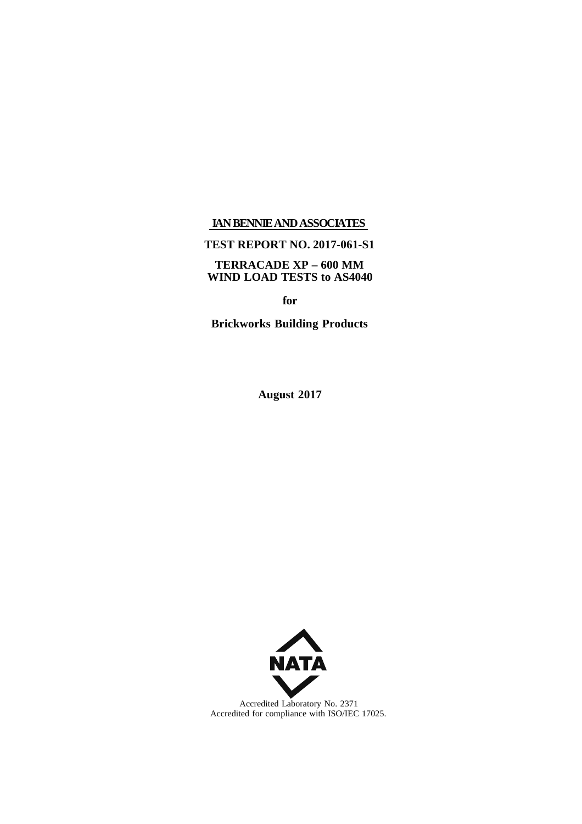### **IANBENNIEANDASSOCIATES**

## **TEST REPORT NO. 2017-061-S1**

## **TERRACADE XP – 600 MM WIND LOAD TESTS to AS4040**

**for**

**Brickworks Building Products**

**August 2017**



Accredited Laboratory No. 2371 Accredited for compliance with ISO/IEC 17025.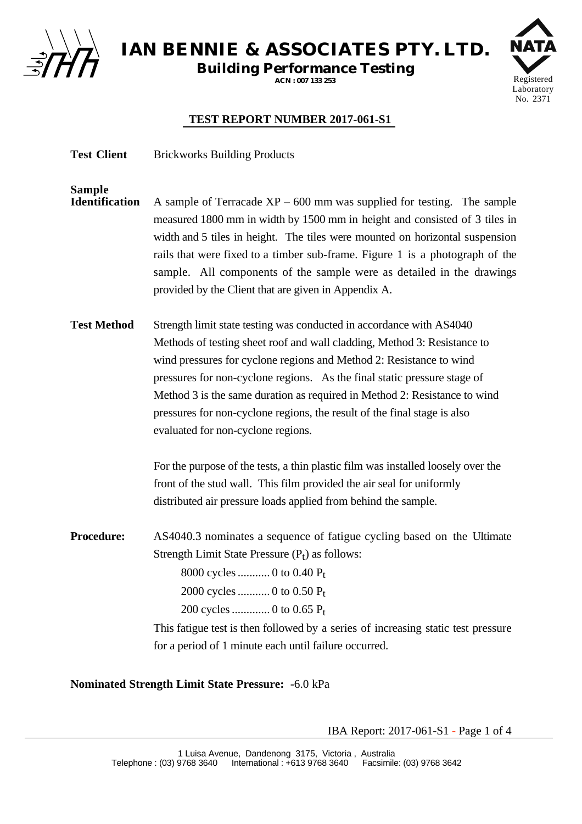

**IAN BENNIE & ASSOCIATES PTY. LTD.**

**Building Performance Testing**

**ACN : 007 133 253**



# **TEST REPORT NUMBER 2017-061-S1**

Test Client Brickworks Building Products

**Sample** A sample of Terracade  $XP - 600$  mm was supplied for testing. The sample measured 1800 mm in width by 1500 mm in height and consisted of 3 tiles in width and 5 tiles in height. The tiles were mounted on horizontal suspension rails that were fixed to a timber sub-frame. Figure 1 is a photograph of the sample. All components of the sample were as detailed in the drawings provided by the Client that are given in Appendix A.

**Test Method** Strength limit state testing was conducted in accordance with AS4040 Methods of testing sheet roof and wall cladding, Method 3: Resistance to wind pressures for cyclone regions and Method 2: Resistance to wind pressures for non-cyclone regions. As the final static pressure stage of Method 3 is the same duration as required in Method 2: Resistance to wind pressures for non-cyclone regions, the result of the final stage is also evaluated for non-cyclone regions.

> For the purpose of the tests, a thin plastic film was installed loosely over the front of the stud wall. This film provided the air seal for uniformly distributed air pressure loads applied from behind the sample.

**Procedure:** AS4040.3 nominates a sequence of fatigue cycling based on the Ultimate Strength Limit State Pressure  $(P_t)$  as follows: 8000 cycles........... 0 to 0.40 Pt 2000 cycles........... 0 to 0.50 Pt 200 cycles............. 0 to 0.65 Pt

> This fatigue test is then followed by a series of increasing static test pressure for a period of 1 minute each until failure occurred.

**Nominated Strength Limit State Pressure:** -6.0 kPa

IBA Report: 2017-061-S1 - Page 1 of 4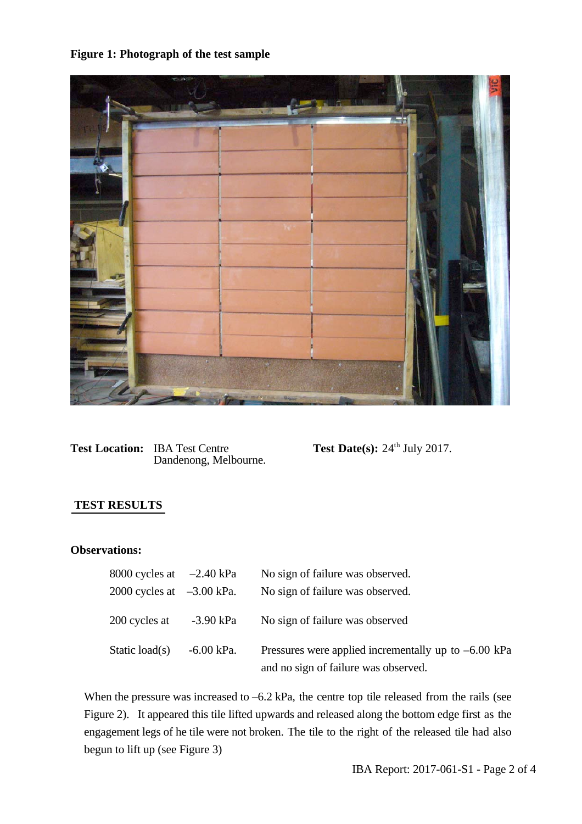# **Figure 1: Photograph of the test sample**



**Test Location:** IBA Test Centre **Test Date(s):**  $24^{\text{th}}$  July 2017. Dandenong, Melbourne.

## **TEST RESULTS**

#### **Observations:**

| 8000 cycles at $-2.40$ kPa  |            | No sign of failure was observed.                                                               |
|-----------------------------|------------|------------------------------------------------------------------------------------------------|
| 2000 cycles at $-3.00$ kPa. |            | No sign of failure was observed.                                                               |
| 200 cycles at $-3.90$ kPa   |            | No sign of failure was observed                                                                |
| Static load(s)              | -6.00 kPa. | Pressures were applied incrementally up to $-6.00$ kPa<br>and no sign of failure was observed. |

When the pressure was increased to  $-6.2$  kPa, the centre top tile released from the rails (see Figure 2). It appeared this tile lifted upwards and released along the bottom edge first as the engagement legs of he tile were not broken. The tile to the right of the released tile had also begun to lift up (see Figure 3)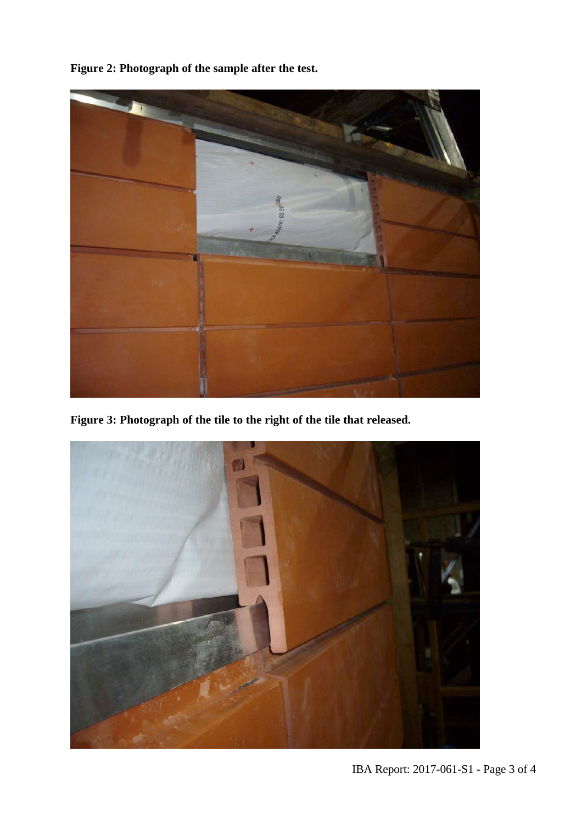**Figure 2: Photograph of the sample after the test.**



**Figure 3: Photograph of the tile to the right of the tile that released.**



IBA Report: 2017-061-S1 - Page 3 of 4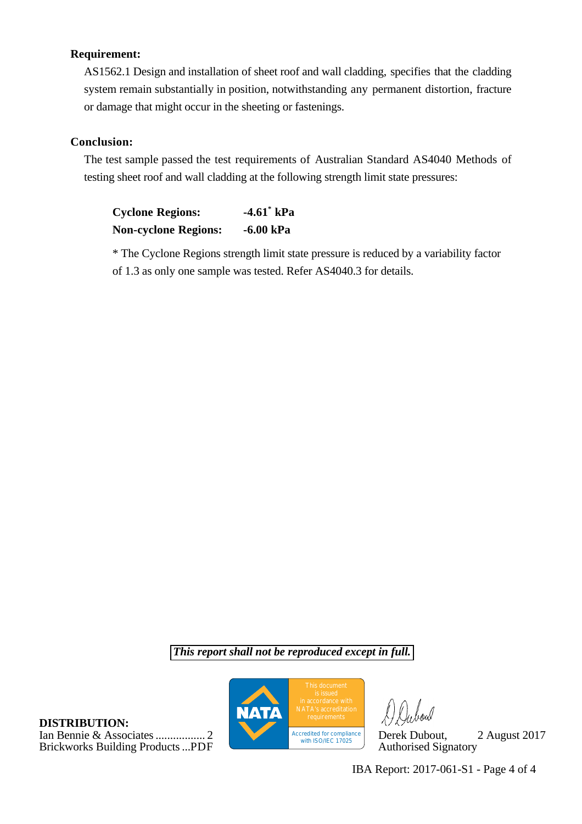## **Requirement:**

AS1562.1 Design and installation of sheet roof and wall cladding, specifies that the cladding system remain substantially in position, notwithstanding any permanent distortion, fracture or damage that might occur in the sheeting or fastenings.

## **Conclusion:**

The test sample passed the test requirements of Australian Standard AS4040 Methods of testing sheet roof and wall cladding at the following strength limit state pressures:

| <b>Cyclone Regions:</b>     | $-4.61$ kPa |
|-----------------------------|-------------|
| <b>Non-cyclone Regions:</b> | $-6.00$ kPa |

\* The Cyclone Regions strength limit state pressure is reduced by a variability factor of 1.3 as only one sample was tested. Refer AS4040.3 for details.

*This report shall not be reproduced except in full.*

**DISTRIBUTION:** Ian Bennie & Associates................. 2 Derek Dubout, 2 August 2017 Brickworks Building Products...PDF



IBA Report: 2017-061-S1 - Page 4 of 4